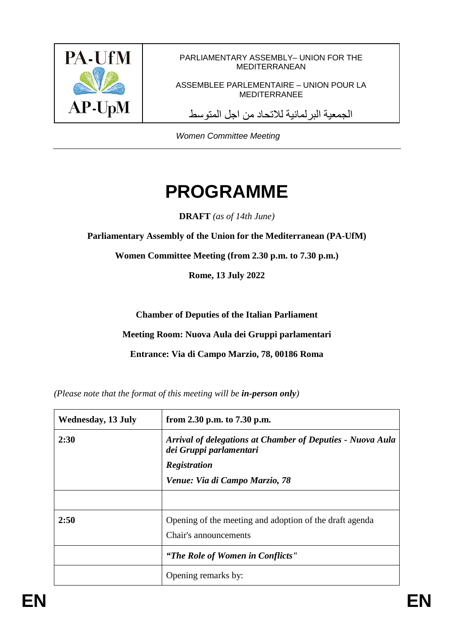

PARLIAMENTARY ASSEMBLY– UNION FOR THE MEDITERRANEAN

ASSEMBLEE PARLEMENTAIRE – UNION POUR LA MEDITERRANEE

الجمعیة البرلمانیة للاتحاد من اجل المتوسط

*Women Committee Meeting* 

## **PROGRAMME**

**DRAFT** *(as of 14th June)*

**Parliamentary Assembly of the Union for the Mediterranean (PA-UfM)**

**Women Committee Meeting (from 2.30 p.m. to 7.30 p.m.)**

**Rome, 13 July 2022**

**Chamber of Deputies of the Italian Parliament** 

**Meeting Room: Nuova Aula dei Gruppi parlamentari** 

**Entrance: Via di Campo Marzio, 78, 00186 Roma**

*(Please note that the format of this meeting will be in-person only)*

| <b>Wednesday, 13 July</b> | from 2.30 p.m. to 7.30 p.m.                                                                                         |
|---------------------------|---------------------------------------------------------------------------------------------------------------------|
| 2:30                      | <b>Arrival of delegations at Chamber of Deputies - Nuova Aula</b><br>dei Gruppi parlamentari<br><b>Registration</b> |
|                           | Venue: Via di Campo Marzio, 78                                                                                      |
|                           |                                                                                                                     |
| 2:50                      | Opening of the meeting and adoption of the draft agenda<br>Chair's announcements                                    |
|                           | "The Role of Women in Conflicts"                                                                                    |
|                           | Opening remarks by:                                                                                                 |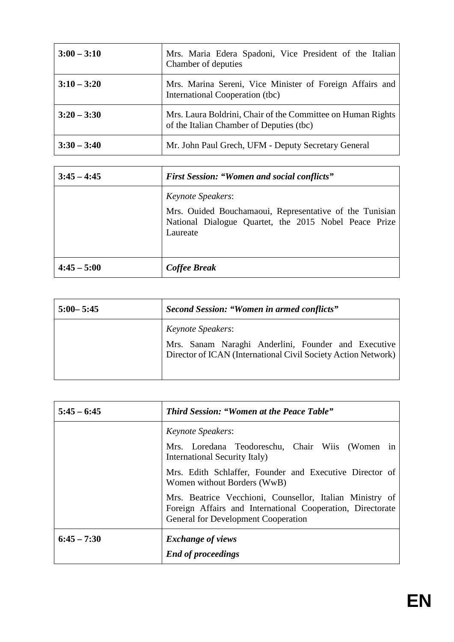| $3:00 - 3:10$ | Mrs. Maria Edera Spadoni, Vice President of the Italian<br>Chamber of deputies                          |
|---------------|---------------------------------------------------------------------------------------------------------|
| $3:10 - 3:20$ | Mrs. Marina Sereni, Vice Minister of Foreign Affairs and<br>International Cooperation (tbc)             |
| $3:20 - 3:30$ | Mrs. Laura Boldrini, Chair of the Committee on Human Rights<br>of the Italian Chamber of Deputies (tbc) |
| $3:30 - 3:40$ | Mr. John Paul Grech, UFM - Deputy Secretary General                                                     |

| $3:45 - 4:45$ | <b>First Session: "Women and social conflicts"</b>                                                                                                       |
|---------------|----------------------------------------------------------------------------------------------------------------------------------------------------------|
|               | <i>Keynote Speakers:</i><br>Mrs. Ouided Bouchamaoui, Representative of the Tunisian<br>National Dialogue Quartet, the 2015 Nobel Peace Prize<br>Laureate |
| $4:45 - 5:00$ | Coffee Break                                                                                                                                             |

| $5:00 - 5:45$ | Second Session: "Women in armed conflicts"                                                                                                       |
|---------------|--------------------------------------------------------------------------------------------------------------------------------------------------|
|               | <i>Keynote Speakers:</i><br>Mrs. Sanam Naraghi Anderlini, Founder and Executive<br>Director of ICAN (International Civil Society Action Network) |

| $5:45 - 6:45$ | <b>Third Session: "Women at the Peace Table"</b>                                                                                                                     |
|---------------|----------------------------------------------------------------------------------------------------------------------------------------------------------------------|
|               | <i>Keynote Speakers:</i><br>Mrs. Loredana Teodoreschu, Chair Wiis (Women in<br>International Security Italy)                                                         |
|               | Mrs. Edith Schlaffer, Founder and Executive Director of<br>Women without Borders (WwB)                                                                               |
|               | Mrs. Beatrice Vecchioni, Counsellor, Italian Ministry of<br>Foreign Affairs and International Cooperation, Directorate<br><b>General for Development Cooperation</b> |
| $6:45 - 7:30$ | <b>Exchange of views</b><br><b>End of proceedings</b>                                                                                                                |